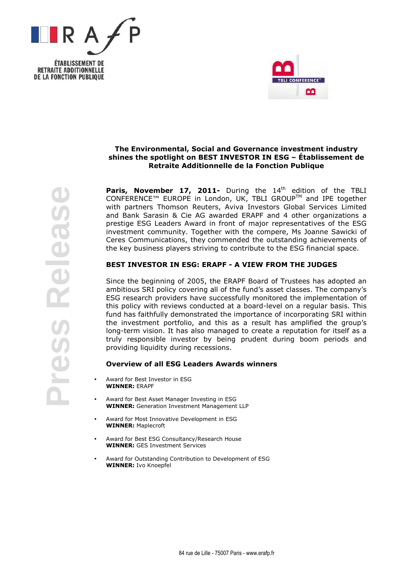





# The Environmental, Social and Governance investment industry shines the spotlight on BEST INVESTOR IN ESG – Établissement de Retraite Additionnelle de la Fonction Publique

Paris, November 17, 2011- During the 14<sup>th</sup> edition of the TBLI CONFERENCE™ EUROPE in London, UK, TBLI GROUPTM and IPE together with partners Thomson Reuters, Aviva Investors Global Services Limited and Bank Sarasin & Cie AG awarded ERAPF and 4 other organizations a prestige ESG Leaders Award in front of major representatives of the ESG investment community. Together with the compere, Ms Joanne Sawicki of Ceres Communications, they commended the outstanding achievements of the key business players striving to contribute to the ESG financial space.

## BEST INVESTOR IN ESG: ERAPF - A VIEW FROM THE JUDGES

Since the beginning of 2005, the ERAPF Board of Trustees has adopted an ambitious SRI policy covering all of the fund's asset classes. The company's ESG research providers have successfully monitored the implementation of this policy with reviews conducted at a board-level on a regular basis. This fund has faithfully demonstrated the importance of incorporating SRI within the investment portfolio, and this as a result has amplified the group's long-term vision. It has also managed to create a reputation for itself as a truly responsible investor by being prudent during boom periods and providing liquidity during recessions.

## Overview of all ESG Leaders Awards winners

- Award for Best Investor in ESG WINNER: ERAPF
- Award for Best Asset Manager Investing in ESG WINNER: Generation Investment Management LLP
- Award for Most Innovative Development in ESG WINNER: Maplecroft
- Award for Best ESG Consultancy/Research House WINNER: GFS Investment Services
- Award for Outstanding Contribution to Development of ESG WINNER: Ivo Knoepfel